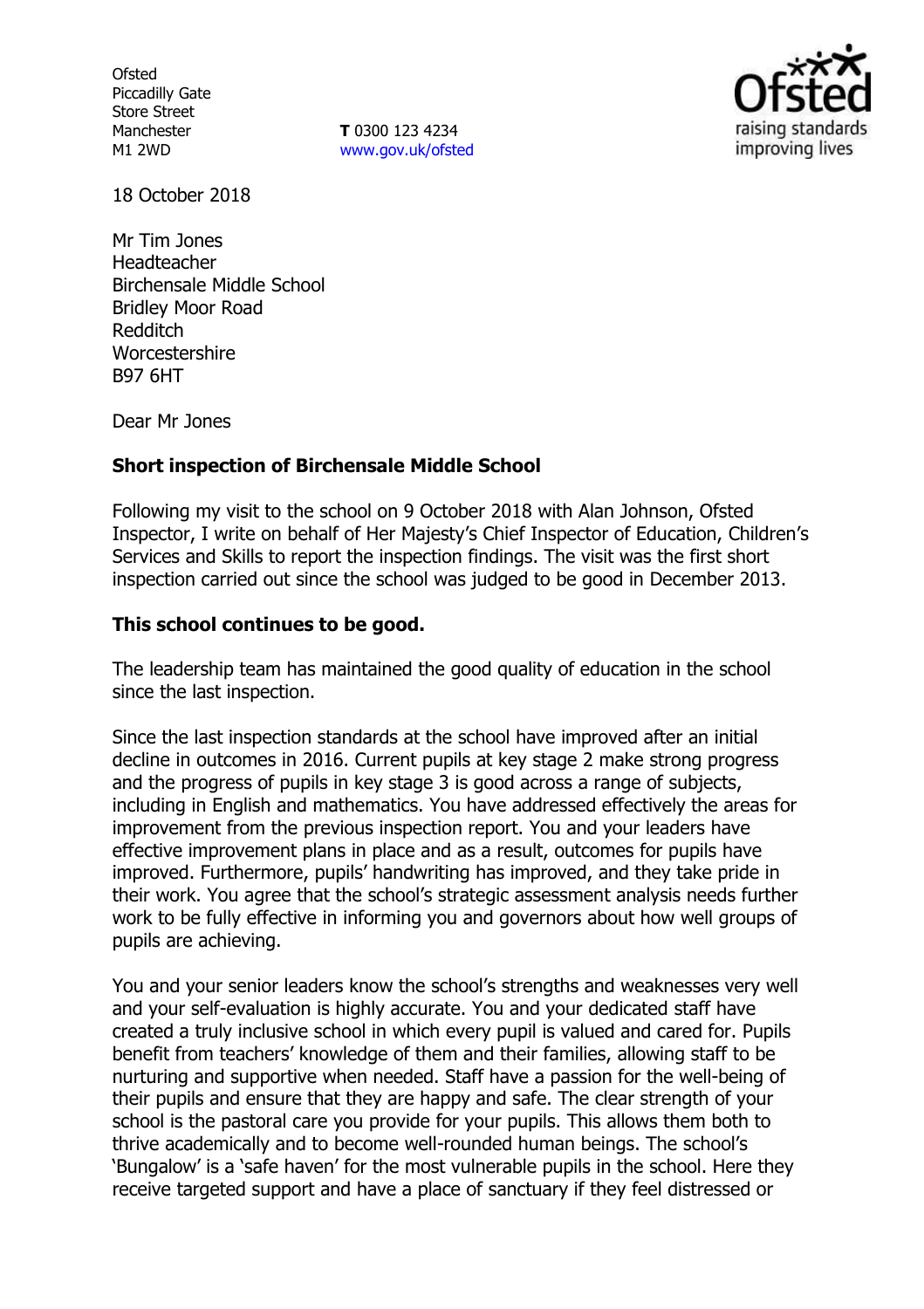**Ofsted** Piccadilly Gate Store Street Manchester M1 2WD

**T** 0300 123 4234 www.gov.uk/ofsted



18 October 2018

Mr Tim Jones Headteacher Birchensale Middle School Bridley Moor Road Redditch Worcestershire B97 6HT

Dear Mr Jones

### **Short inspection of Birchensale Middle School**

Following my visit to the school on 9 October 2018 with Alan Johnson, Ofsted Inspector, I write on behalf of Her Majesty's Chief Inspector of Education, Children's Services and Skills to report the inspection findings. The visit was the first short inspection carried out since the school was judged to be good in December 2013.

### **This school continues to be good.**

The leadership team has maintained the good quality of education in the school since the last inspection.

Since the last inspection standards at the school have improved after an initial decline in outcomes in 2016. Current pupils at key stage 2 make strong progress and the progress of pupils in key stage 3 is good across a range of subjects, including in English and mathematics. You have addressed effectively the areas for improvement from the previous inspection report. You and your leaders have effective improvement plans in place and as a result, outcomes for pupils have improved. Furthermore, pupils' handwriting has improved, and they take pride in their work. You agree that the school's strategic assessment analysis needs further work to be fully effective in informing you and governors about how well groups of pupils are achieving.

You and your senior leaders know the school's strengths and weaknesses very well and your self-evaluation is highly accurate. You and your dedicated staff have created a truly inclusive school in which every pupil is valued and cared for. Pupils benefit from teachers' knowledge of them and their families, allowing staff to be nurturing and supportive when needed. Staff have a passion for the well-being of their pupils and ensure that they are happy and safe. The clear strength of your school is the pastoral care you provide for your pupils. This allows them both to thrive academically and to become well-rounded human beings. The school's 'Bungalow' is a 'safe haven' for the most vulnerable pupils in the school. Here they receive targeted support and have a place of sanctuary if they feel distressed or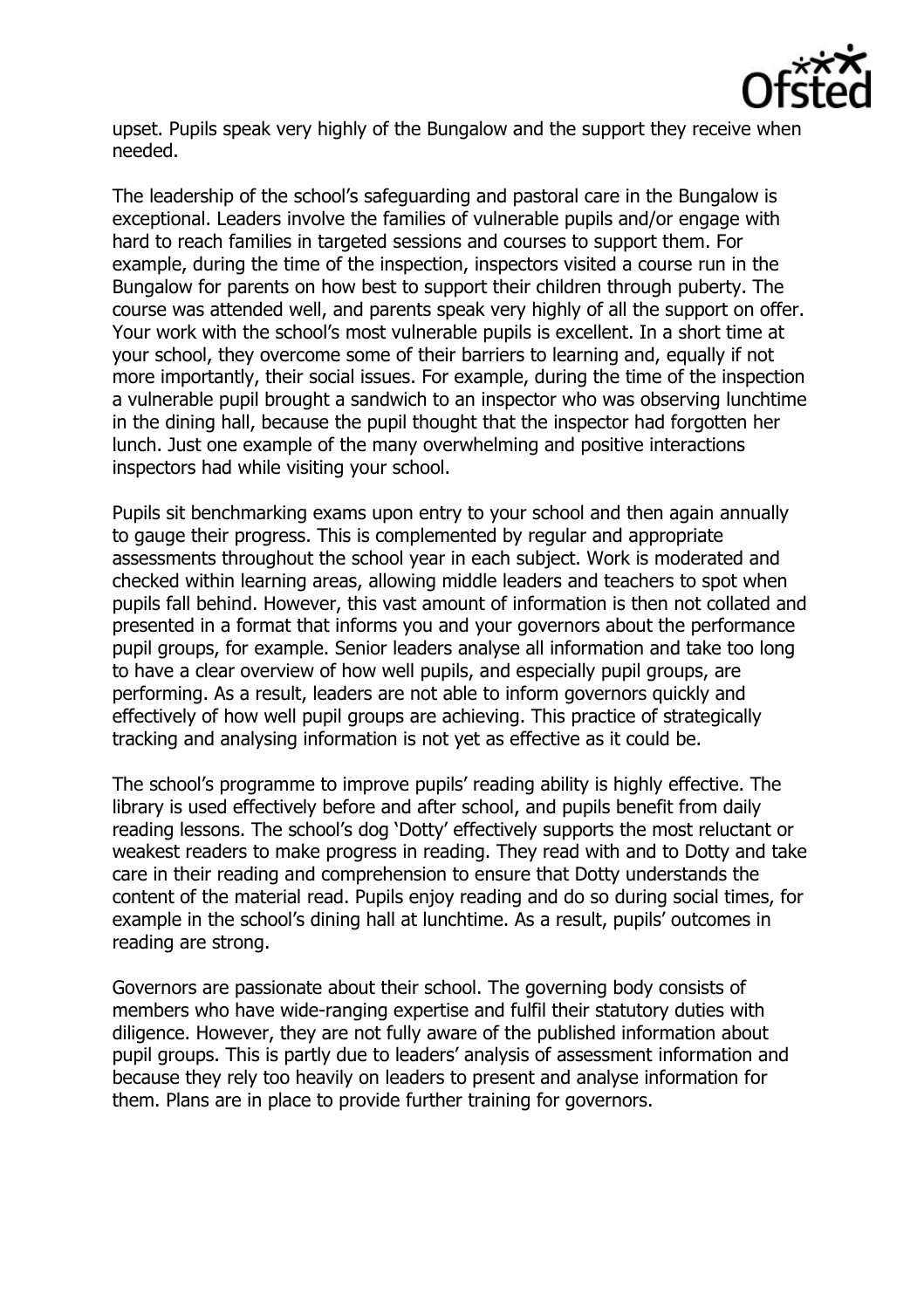

upset. Pupils speak very highly of the Bungalow and the support they receive when needed.

The leadership of the school's safeguarding and pastoral care in the Bungalow is exceptional. Leaders involve the families of vulnerable pupils and/or engage with hard to reach families in targeted sessions and courses to support them. For example, during the time of the inspection, inspectors visited a course run in the Bungalow for parents on how best to support their children through puberty. The course was attended well, and parents speak very highly of all the support on offer. Your work with the school's most vulnerable pupils is excellent. In a short time at your school, they overcome some of their barriers to learning and, equally if not more importantly, their social issues. For example, during the time of the inspection a vulnerable pupil brought a sandwich to an inspector who was observing lunchtime in the dining hall, because the pupil thought that the inspector had forgotten her lunch. Just one example of the many overwhelming and positive interactions inspectors had while visiting your school.

Pupils sit benchmarking exams upon entry to your school and then again annually to gauge their progress. This is complemented by regular and appropriate assessments throughout the school year in each subject. Work is moderated and checked within learning areas, allowing middle leaders and teachers to spot when pupils fall behind. However, this vast amount of information is then not collated and presented in a format that informs you and your governors about the performance pupil groups, for example. Senior leaders analyse all information and take too long to have a clear overview of how well pupils, and especially pupil groups, are performing. As a result, leaders are not able to inform governors quickly and effectively of how well pupil groups are achieving. This practice of strategically tracking and analysing information is not yet as effective as it could be.

The school's programme to improve pupils' reading ability is highly effective. The library is used effectively before and after school, and pupils benefit from daily reading lessons. The school's dog 'Dotty' effectively supports the most reluctant or weakest readers to make progress in reading. They read with and to Dotty and take care in their reading and comprehension to ensure that Dotty understands the content of the material read. Pupils enjoy reading and do so during social times, for example in the school's dining hall at lunchtime. As a result, pupils' outcomes in reading are strong.

Governors are passionate about their school. The governing body consists of members who have wide-ranging expertise and fulfil their statutory duties with diligence. However, they are not fully aware of the published information about pupil groups. This is partly due to leaders' analysis of assessment information and because they rely too heavily on leaders to present and analyse information for them. Plans are in place to provide further training for governors.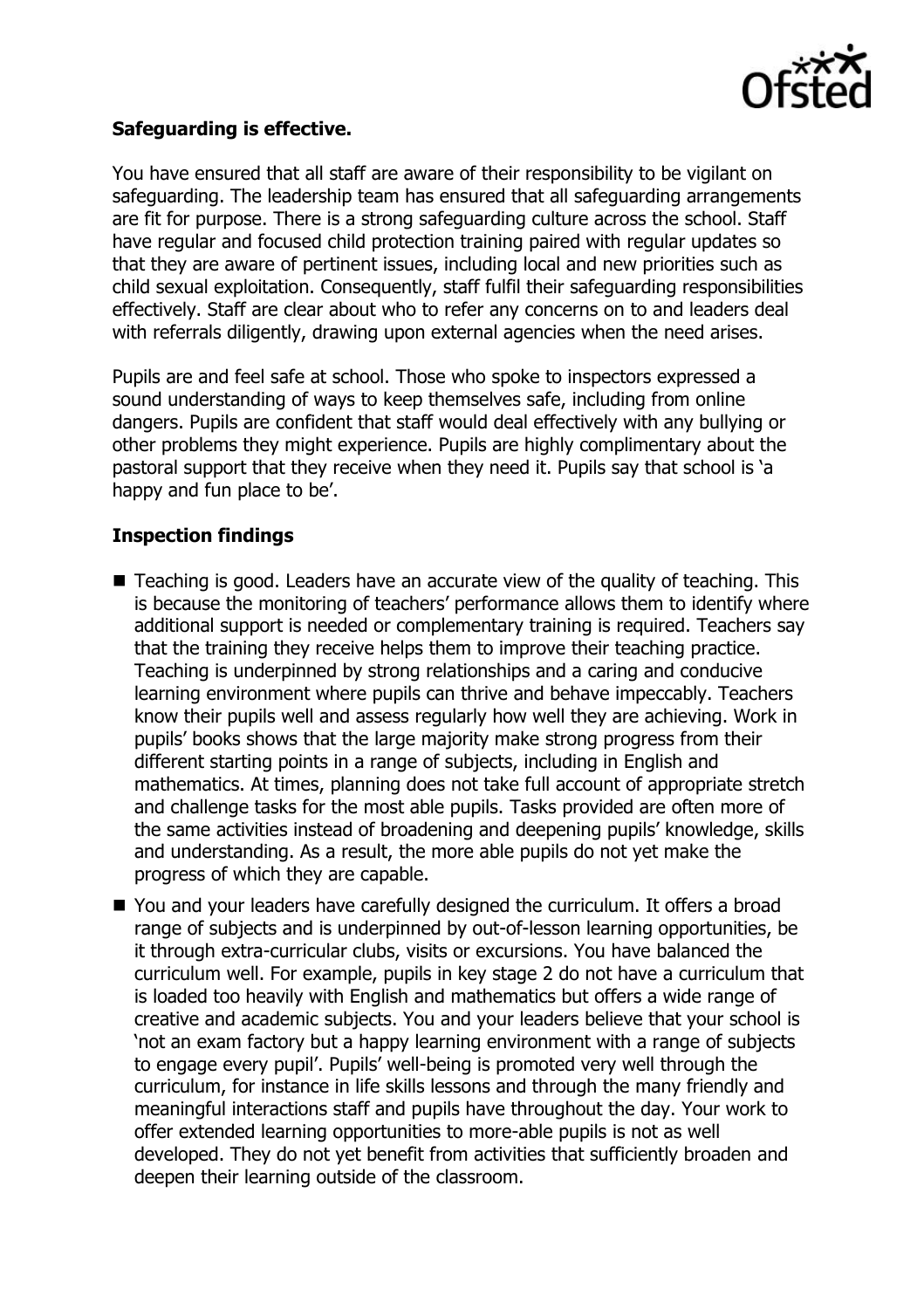

## **Safeguarding is effective.**

You have ensured that all staff are aware of their responsibility to be vigilant on safeguarding. The leadership team has ensured that all safeguarding arrangements are fit for purpose. There is a strong safeguarding culture across the school. Staff have regular and focused child protection training paired with regular updates so that they are aware of pertinent issues, including local and new priorities such as child sexual exploitation. Consequently, staff fulfil their safeguarding responsibilities effectively. Staff are clear about who to refer any concerns on to and leaders deal with referrals diligently, drawing upon external agencies when the need arises.

Pupils are and feel safe at school. Those who spoke to inspectors expressed a sound understanding of ways to keep themselves safe, including from online dangers. Pupils are confident that staff would deal effectively with any bullying or other problems they might experience. Pupils are highly complimentary about the pastoral support that they receive when they need it. Pupils say that school is 'a happy and fun place to be'.

# **Inspection findings**

- Teaching is good. Leaders have an accurate view of the quality of teaching. This is because the monitoring of teachers' performance allows them to identify where additional support is needed or complementary training is required. Teachers say that the training they receive helps them to improve their teaching practice. Teaching is underpinned by strong relationships and a caring and conducive learning environment where pupils can thrive and behave impeccably. Teachers know their pupils well and assess regularly how well they are achieving. Work in pupils' books shows that the large majority make strong progress from their different starting points in a range of subjects, including in English and mathematics. At times, planning does not take full account of appropriate stretch and challenge tasks for the most able pupils. Tasks provided are often more of the same activities instead of broadening and deepening pupils' knowledge, skills and understanding. As a result, the more able pupils do not yet make the progress of which they are capable.
- You and your leaders have carefully designed the curriculum. It offers a broad range of subjects and is underpinned by out-of-lesson learning opportunities, be it through extra-curricular clubs, visits or excursions. You have balanced the curriculum well. For example, pupils in key stage 2 do not have a curriculum that is loaded too heavily with English and mathematics but offers a wide range of creative and academic subjects. You and your leaders believe that your school is 'not an exam factory but a happy learning environment with a range of subjects to engage every pupil'. Pupils' well-being is promoted very well through the curriculum, for instance in life skills lessons and through the many friendly and meaningful interactions staff and pupils have throughout the day. Your work to offer extended learning opportunities to more-able pupils is not as well developed. They do not yet benefit from activities that sufficiently broaden and deepen their learning outside of the classroom.